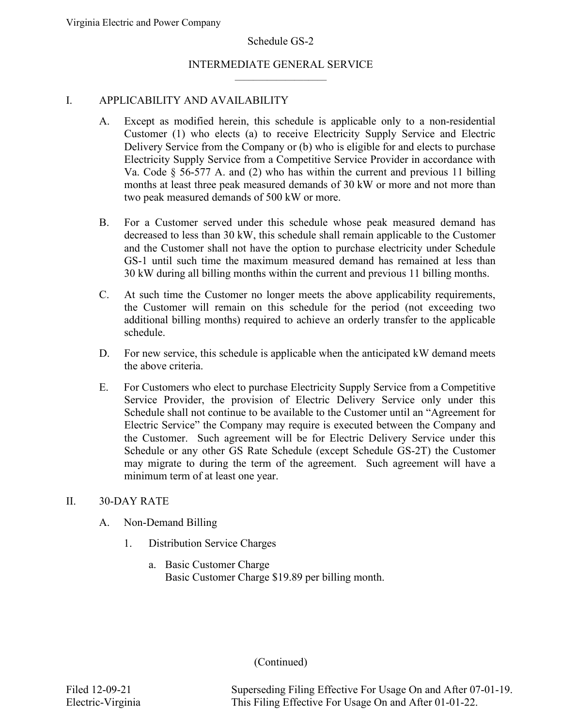#### INTERMEDIATE GENERAL SERVICE  $\overline{\phantom{a}}$  , and the set of the set of the set of the set of the set of the set of the set of the set of the set of the set of the set of the set of the set of the set of the set of the set of the set of the set of the s

# I. APPLICABILITY AND AVAILABILITY

- A. Except as modified herein, this schedule is applicable only to a non-residential Customer (1) who elects (a) to receive Electricity Supply Service and Electric Delivery Service from the Company or (b) who is eligible for and elects to purchase Electricity Supply Service from a Competitive Service Provider in accordance with Va. Code § 56-577 A. and (2) who has within the current and previous 11 billing months at least three peak measured demands of 30 kW or more and not more than two peak measured demands of 500 kW or more.
- B. For a Customer served under this schedule whose peak measured demand has decreased to less than 30 kW, this schedule shall remain applicable to the Customer and the Customer shall not have the option to purchase electricity under Schedule GS-1 until such time the maximum measured demand has remained at less than 30 kW during all billing months within the current and previous 11 billing months.
- C. At such time the Customer no longer meets the above applicability requirements, the Customer will remain on this schedule for the period (not exceeding two additional billing months) required to achieve an orderly transfer to the applicable schedule.
- D. For new service, this schedule is applicable when the anticipated kW demand meets the above criteria.
- E. For Customers who elect to purchase Electricity Supply Service from a Competitive Service Provider, the provision of Electric Delivery Service only under this Schedule shall not continue to be available to the Customer until an "Agreement for Electric Service" the Company may require is executed between the Company and the Customer. Such agreement will be for Electric Delivery Service under this Schedule or any other GS Rate Schedule (except Schedule GS-2T) the Customer may migrate to during the term of the agreement. Such agreement will have a minimum term of at least one year.

## II. 30-DAY RATE

- A. Non-Demand Billing
	- 1. Distribution Service Charges
		- a. Basic Customer Charge Basic Customer Charge \$19.89 per billing month.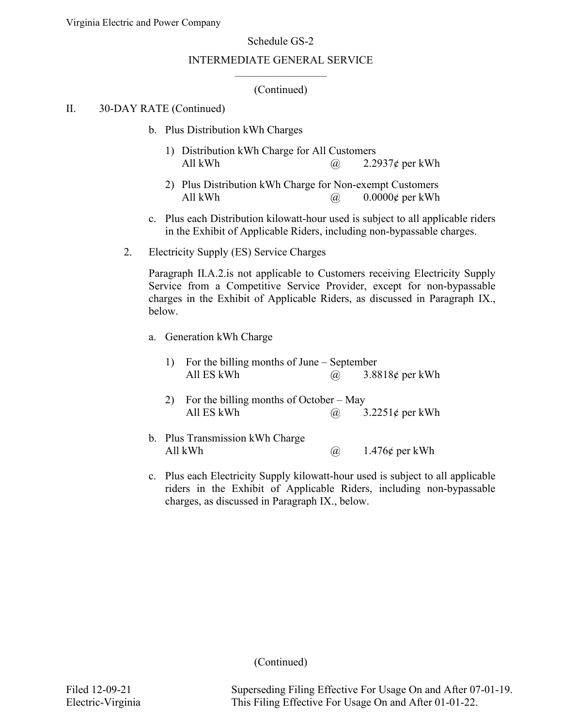#### INTERMEDIATE GENERAL SERVICE  $\overline{\phantom{a}}$  , and the set of the set of the set of the set of the set of the set of the set of the set of the set of the set of the set of the set of the set of the set of the set of the set of the set of the set of the s

### (Continued)

### II. 30-DAY RATE (Continued)

- b. Plus Distribution kWh Charges
	- 1) Distribution kWh Charge for All Customers All kWh  $\omega$  2.2937¢ per kWh
	- 2) Plus Distribution kWh Charge for Non-exempt Customers All kWh  $\omega$  0.0000¢ per kWh
- c. Plus each Distribution kilowatt-hour used is subject to all applicable riders in the Exhibit of Applicable Riders, including non-bypassable charges.
- 2. Electricity Supply (ES) Service Charges

Paragraph II.A.2.is not applicable to Customers receiving Electricity Supply Service from a Competitive Service Provider, except for non-bypassable charges in the Exhibit of Applicable Riders, as discussed in Paragraph IX., below.

a. Generation kWh Charge

| 1) For the billing months of June – September |     |                 |  |  |
|-----------------------------------------------|-----|-----------------|--|--|
| All ES kWh                                    | (a) | 3.8818¢ per kWh |  |  |

- 2) For the billing months of October May All ES kWh  $\omega$  3.2251¢ per kWh
- b. Plus Transmission kWh Charge All kWh  $\qquad \qquad \textcircled{a} \qquad 1.476\ell \text{ per kWh}$
- c. Plus each Electricity Supply kilowatt-hour used is subject to all applicable riders in the Exhibit of Applicable Riders, including non-bypassable charges, as discussed in Paragraph IX., below.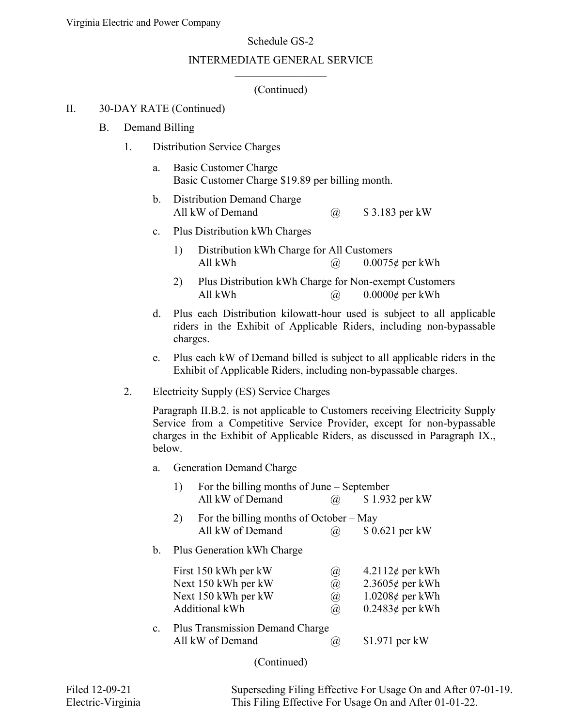#### INTERMEDIATE GENERAL SERVICE  $\overline{\phantom{a}}$  , and the set of the set of the set of the set of the set of the set of the set of the set of the set of the set of the set of the set of the set of the set of the set of the set of the set of the set of the s

# (Continued)

# II. 30-DAY RATE (Continued)

- B. Demand Billing
	- 1. Distribution Service Charges
		- a. Basic Customer Charge Basic Customer Charge \$19.89 per billing month.
		- b. Distribution Demand Charge All kW of Demand  $\omega$  \$ 3.183 per kW
		- c. Plus Distribution kWh Charges
			- 1) Distribution kWh Charge for All Customers All kWh  $\omega$  0.0075¢ per kWh
			- 2) Plus Distribution kWh Charge for Non-exempt Customers All kWh  $\omega$  0.0000¢ per kWh
		- d. Plus each Distribution kilowatt-hour used is subject to all applicable riders in the Exhibit of Applicable Riders, including non-bypassable charges.
		- e. Plus each kW of Demand billed is subject to all applicable riders in the Exhibit of Applicable Riders, including non-bypassable charges.

## 2. Electricity Supply (ES) Service Charges

Paragraph II.B.2. is not applicable to Customers receiving Electricity Supply Service from a Competitive Service Provider, except for non-bypassable charges in the Exhibit of Applicable Riders, as discussed in Paragraph IX., below.

a. Generation Demand Charge

|                | For the billing months of June – September<br>1)<br>All kW of Demand<br>\$1.932 per kW<br>(a), |                                                                                             |                          |                                                                                              |  |
|----------------|------------------------------------------------------------------------------------------------|---------------------------------------------------------------------------------------------|--------------------------|----------------------------------------------------------------------------------------------|--|
|                | 2)                                                                                             | For the billing months of October $-$ May<br>All kW of Demand                               | (a)                      | \$ 0.621 per kW                                                                              |  |
| b.             | Plus Generation kWh Charge                                                                     |                                                                                             |                          |                                                                                              |  |
|                |                                                                                                | First 150 kWh per kW<br>Next 150 kWh per kW<br>Next 150 kWh per kW<br><b>Additional kWh</b> | (a)<br>(a)<br>(a)<br>(a) | $4.2112 \notin$ per kWh<br>$2.3605\phi$ per kWh<br>$1.0208\phi$ per kWh<br>$0.2483¢$ per kWh |  |
| $\mathbf{c}$ . |                                                                                                | <b>Plus Transmission Demand Charge</b><br>All kW of Demand                                  | $\alpha$                 | $$1.971$ per kW                                                                              |  |

(Continued)

Filed 12-09-21 Superseding Filing Effective For Usage On and After 07-01-19. Electric-Virginia This Filing Effective For Usage On and After 01-01-22.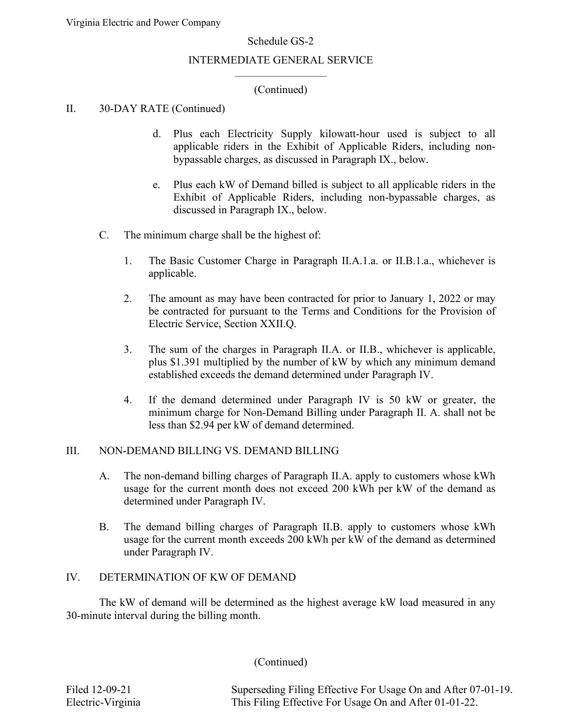#### INTERMEDIATE GENERAL SERVICE  $\overline{\phantom{a}}$  , and the set of the set of the set of the set of the set of the set of the set of the set of the set of the set of the set of the set of the set of the set of the set of the set of the set of the set of the s

## (Continued)

### II. 30-DAY RATE (Continued)

- d. Plus each Electricity Supply kilowatt-hour used is subject to all applicable riders in the Exhibit of Applicable Riders, including nonbypassable charges, as discussed in Paragraph IX., below.
- e. Plus each kW of Demand billed is subject to all applicable riders in the Exhibit of Applicable Riders, including non-bypassable charges, as discussed in Paragraph IX., below.
- C. The minimum charge shall be the highest of:
	- 1. The Basic Customer Charge in Paragraph II.A.1.a. or II.B.1.a., whichever is applicable.
	- 2. The amount as may have been contracted for prior to January 1, 2022 or may be contracted for pursuant to the Terms and Conditions for the Provision of Electric Service, Section XXII.Q.
	- 3. The sum of the charges in Paragraph II.A. or II.B., whichever is applicable, plus \$1.391 multiplied by the number of kW by which any minimum demand established exceeds the demand determined under Paragraph IV.
	- 4. If the demand determined under Paragraph IV is 50 kW or greater, the minimum charge for Non-Demand Billing under Paragraph II. A. shall not be less than \$2.94 per kW of demand determined.

#### III. NON-DEMAND BILLING VS. DEMAND BILLING

- A. The non-demand billing charges of Paragraph II.A. apply to customers whose kWh usage for the current month does not exceed 200 kWh per kW of the demand as determined under Paragraph IV.
- B. The demand billing charges of Paragraph II.B. apply to customers whose kWh usage for the current month exceeds 200 kWh per kW of the demand as determined under Paragraph IV.

#### IV. DETERMINATION OF KW OF DEMAND

The kW of demand will be determined as the highest average kW load measured in any 30-minute interval during the billing month.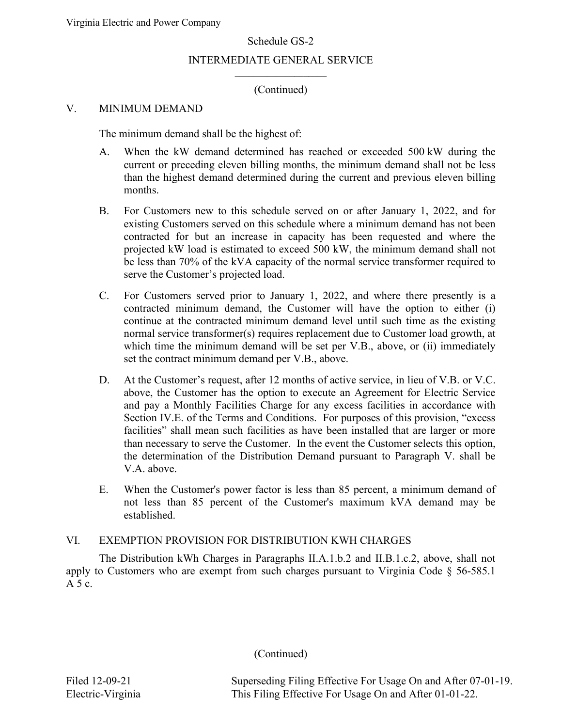#### INTERMEDIATE GENERAL SERVICE  $\overline{\phantom{a}}$  , and the set of the set of the set of the set of the set of the set of the set of the set of the set of the set of the set of the set of the set of the set of the set of the set of the set of the set of the s

## (Continued)

### V. MINIMUM DEMAND

The minimum demand shall be the highest of:

- A. When the kW demand determined has reached or exceeded 500 kW during the current or preceding eleven billing months, the minimum demand shall not be less than the highest demand determined during the current and previous eleven billing months.
- B. For Customers new to this schedule served on or after January 1, 2022, and for existing Customers served on this schedule where a minimum demand has not been contracted for but an increase in capacity has been requested and where the projected kW load is estimated to exceed 500 kW, the minimum demand shall not be less than 70% of the kVA capacity of the normal service transformer required to serve the Customer's projected load.
- C. For Customers served prior to January 1, 2022, and where there presently is a contracted minimum demand, the Customer will have the option to either (i) continue at the contracted minimum demand level until such time as the existing normal service transformer(s) requires replacement due to Customer load growth, at which time the minimum demand will be set per V.B., above, or (ii) immediately set the contract minimum demand per V.B., above.
- D. At the Customer's request, after 12 months of active service, in lieu of V.B. or V.C. above, the Customer has the option to execute an Agreement for Electric Service and pay a Monthly Facilities Charge for any excess facilities in accordance with Section IV.E. of the Terms and Conditions. For purposes of this provision, "excess facilities" shall mean such facilities as have been installed that are larger or more than necessary to serve the Customer. In the event the Customer selects this option, the determination of the Distribution Demand pursuant to Paragraph V. shall be V.A. above.
- E. When the Customer's power factor is less than 85 percent, a minimum demand of not less than 85 percent of the Customer's maximum kVA demand may be established.

## VI. EXEMPTION PROVISION FOR DISTRIBUTION KWH CHARGES

The Distribution kWh Charges in Paragraphs II.A.1.b.2 and II.B.1.c.2, above, shall not apply to Customers who are exempt from such charges pursuant to Virginia Code § 56-585.1 A 5 c.